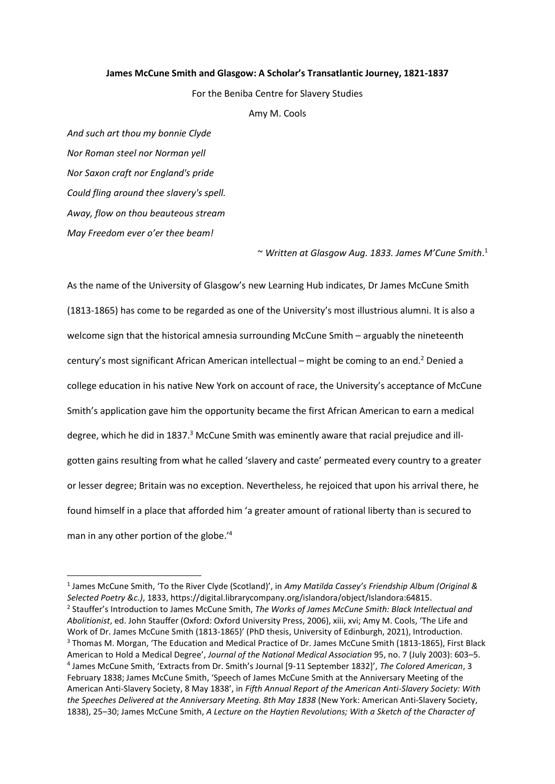## **James McCune Smith and Glasgow: A Scholar's Transatlantic Journey, 1821-1837**

For the Beniba Centre for Slavery Studies

Amy M. Cools

*And such art thou my bonnie Clyde Nor Roman steel nor Norman yell Nor Saxon craft nor England's pride Could fling around thee slavery's spell. Away, flow on thou beauteous stream May Freedom ever o'er thee beam!* 

~ *Written at Glasgow Aug. 1833. James M'Cune Smith*. 1

As the name of the University of Glasgow's new Learning Hub indicates, Dr James McCune Smith (1813-1865) has come to be regarded as one of the University's most illustrious alumni. It is also a welcome sign that the historical amnesia surrounding McCune Smith – arguably the nineteenth century's most significant African American intellectual – might be coming to an end.<sup>2</sup> Denied a college education in his native New York on account of race, the University's acceptance of McCune Smith's application gave him the opportunity became the first African American to earn a medical degree, which he did in 1837.<sup>3</sup> McCune Smith was eminently aware that racial prejudice and illgotten gains resulting from what he called 'slavery and caste' permeated every country to a greater or lesser degree; Britain was no exception. Nevertheless, he rejoiced that upon his arrival there, he found himself in a place that afforded him 'a greater amount of rational liberty than is secured to man in any other portion of the globe.<sup>'4</sup>

<sup>1</sup> James McCune Smith, 'To the River Clyde (Scotland)', in *Amy Matilda Cassey's Friendship Album (Original & Selected Poetry &c.)*, 1833, https://digital.librarycompany.org/islandora/object/Islandora:64815. 2 Stauffer's Introduction to James McCune Smith, *The Works of James McCune Smith: Black Intellectual and Abolitionist*, ed. John Stauffer (Oxford: Oxford University Press, 2006), xiii, xvi; Amy M. Cools, 'The Life and Work of Dr. James McCune Smith (1813-1865)' (PhD thesis, University of Edinburgh, 2021), Introduction. <sup>3</sup> Thomas M. Morgan, 'The Education and Medical Practice of Dr. James McCune Smith (1813-1865), First Black American to Hold a Medical Degree', *Journal of the National Medical Association* 95, no. 7 (July 2003): 603–5. 4 James McCune Smith, 'Extracts from Dr. Smith's Journal [9-11 September 1832]', *The Colored American*, 3 February 1838; James McCune Smith, 'Speech of James McCune Smith at the Anniversary Meeting of the American Anti-Slavery Society, 8 May 1838', in *Fifth Annual Report of the American Anti-Slavery Society: With the Speeches Delivered at the Anniversary Meeting. 8th May 1838* (New York: American Anti-Slavery Society, 1838), 25–30; James McCune Smith, *A Lecture on the Haytien Revolutions; With a Sketch of the Character of*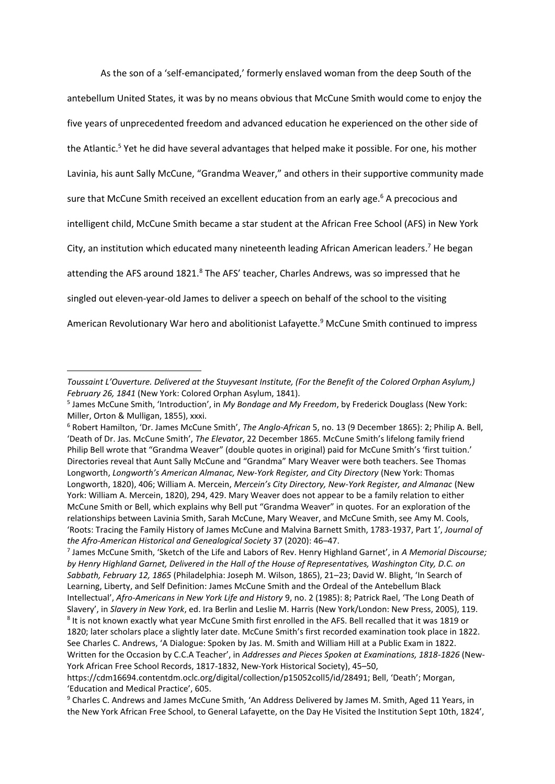As the son of a 'self-emancipated,' formerly enslaved woman from the deep South of the antebellum United States, it was by no means obvious that McCune Smith would come to enjoy the five years of unprecedented freedom and advanced education he experienced on the other side of the Atlantic. <sup>5</sup> Yet he did have several advantages that helped make it possible. For one, his mother Lavinia, his aunt Sally McCune, "Grandma Weaver," and others in their supportive community made sure that McCune Smith received an excellent education from an early age.<sup>6</sup> A precocious and intelligent child, McCune Smith became a star student at the African Free School (AFS) in New York City, an institution which educated many nineteenth leading African American leaders.<sup>7</sup> He began attending the AFS around 1821.<sup>8</sup> The AFS' teacher, Charles Andrews, was so impressed that he singled out eleven-year-old James to deliver a speech on behalf of the school to the visiting American Revolutionary War hero and abolitionist Lafayette.<sup>9</sup> McCune Smith continued to impress

*Toussaint L'Ouverture. Delivered at the Stuyvesant Institute, (For the Benefit of the Colored Orphan Asylum,) February 26, 1841* (New York: Colored Orphan Asylum, 1841).

<sup>5</sup> James McCune Smith, 'Introduction', in *My Bondage and My Freedom*, by Frederick Douglass (New York: Miller, Orton & Mulligan, 1855), xxxi.

<sup>6</sup> Robert Hamilton, 'Dr. James McCune Smith', *The Anglo-African* 5, no. 13 (9 December 1865): 2; Philip A. Bell, 'Death of Dr. Jas. McCune Smith', *The Elevator*, 22 December 1865. McCune Smith's lifelong family friend Philip Bell wrote that "Grandma Weaver" (double quotes in original) paid for McCune Smith's 'first tuition.' Directories reveal that Aunt Sally McCune and "Grandma" Mary Weaver were both teachers. See Thomas Longworth, *Longworth's American Almanac, New-York Register, and City Directory* (New York: Thomas Longworth, 1820), 406; William A. Mercein, *Mercein's City Directory, New-York Register, and Almanac* (New York: William A. Mercein, 1820), 294, 429. Mary Weaver does not appear to be a family relation to either McCune Smith or Bell, which explains why Bell put "Grandma Weaver" in quotes. For an exploration of the relationships between Lavinia Smith, Sarah McCune, Mary Weaver, and McCune Smith, see Amy M. Cools, 'Roots: Tracing the Family History of James McCune and Malvina Barnett Smith, 1783-1937, Part 1', *Journal of the Afro-American Historical and Genealogical Society* 37 (2020): 46–47.

<sup>7</sup> James McCune Smith, 'Sketch of the Life and Labors of Rev. Henry Highland Garnet', in *A Memorial Discourse; by Henry Highland Garnet, Delivered in the Hall of the House of Representatives, Washington City, D.C. on Sabbath, February 12, 1865* (Philadelphia: Joseph M. Wilson, 1865), 21–23; David W. Blight, 'In Search of Learning, Liberty, and Self Definition: James McCune Smith and the Ordeal of the Antebellum Black Intellectual', *Afro-Americans in New York Life and History* 9, no. 2 (1985): 8; Patrick Rael, 'The Long Death of Slavery', in *Slavery in New York*, ed. Ira Berlin and Leslie M. Harris (New York/London: New Press, 2005), 119. 8 It is not known exactly what year McCune Smith first enrolled in the AFS. Bell recalled that it was 1819 or 1820; later scholars place a slightly later date. McCune Smith's first recorded examination took place in 1822. See Charles C. Andrews, 'A Dialogue: Spoken by Jas. M. Smith and William Hill at a Public Exam in 1822. Written for the Occasion by C.C.A Teacher', in *Addresses and Pieces Spoken at Examinations, 1818-1826* (New-York African Free School Records, 1817-1832, New-York Historical Society), 45–50,

https://cdm16694.contentdm.oclc.org/digital/collection/p15052coll5/id/28491; Bell, 'Death'; Morgan, 'Education and Medical Practice', 605.

<sup>9</sup> Charles C. Andrews and James McCune Smith, 'An Address Delivered by James M. Smith, Aged 11 Years, in the New York African Free School, to General Lafayette, on the Day He Visited the Institution Sept 10th, 1824',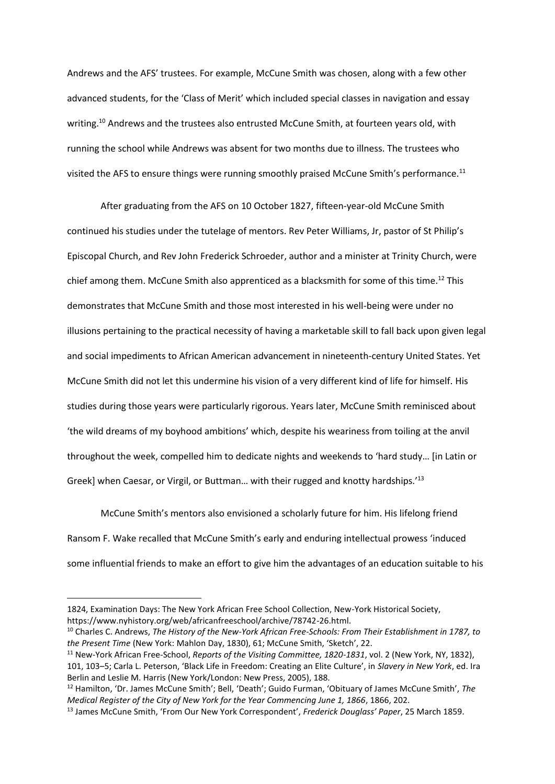Andrews and the AFS' trustees. For example, McCune Smith was chosen, along with a few other advanced students, for the 'Class of Merit' which included special classes in navigation and essay writing.<sup>10</sup> Andrews and the trustees also entrusted McCune Smith, at fourteen years old, with running the school while Andrews was absent for two months due to illness. The trustees who visited the AFS to ensure things were running smoothly praised McCune Smith's performance.<sup>11</sup>

After graduating from the AFS on 10 October 1827, fifteen-year-old McCune Smith continued his studies under the tutelage of mentors. Rev Peter Williams, Jr, pastor of St Philip's Episcopal Church, and Rev John Frederick Schroeder, author and a minister at Trinity Church, were chief among them. McCune Smith also apprenticed as a blacksmith for some of this time.<sup>12</sup> This demonstrates that McCune Smith and those most interested in his well-being were under no illusions pertaining to the practical necessity of having a marketable skill to fall back upon given legal and social impediments to African American advancement in nineteenth-century United States. Yet McCune Smith did not let this undermine his vision of a very different kind of life for himself. His studies during those years were particularly rigorous. Years later, McCune Smith reminisced about 'the wild dreams of my boyhood ambitions' which, despite his weariness from toiling at the anvil throughout the week, compelled him to dedicate nights and weekends to 'hard study… [in Latin or Greek] when Caesar, or Virgil, or Buttman... with their rugged and knotty hardships.<sup>'13</sup>

McCune Smith's mentors also envisioned a scholarly future for him. His lifelong friend Ransom F. Wake recalled that McCune Smith's early and enduring intellectual prowess 'induced some influential friends to make an effort to give him the advantages of an education suitable to his

<sup>1824,</sup> Examination Days: The New York African Free School Collection, New-York Historical Society, https://www.nyhistory.org/web/africanfreeschool/archive/78742-26.html.

<sup>10</sup> Charles C. Andrews, *The History of the New-York African Free-Schools: From Their Establishment in 1787, to the Present Time* (New York: Mahlon Day, 1830), 61; McCune Smith, 'Sketch', 22.

<sup>11</sup> New-York African Free-School, *Reports of the Visiting Committee, 1820-1831*, vol. 2 (New York, NY, 1832), 101, 103–5; Carla L. Peterson, 'Black Life in Freedom: Creating an Elite Culture', in *Slavery in New York*, ed. Ira Berlin and Leslie M. Harris (New York/London: New Press, 2005), 188.

<sup>12</sup> Hamilton, 'Dr. James McCune Smith'; Bell, 'Death'; Guido Furman, 'Obituary of James McCune Smith', *The Medical Register of the City of New York for the Year Commencing June 1, 1866*, 1866, 202.

<sup>13</sup> James McCune Smith, 'From Our New York Correspondent', *Frederick Douglass' Paper*, 25 March 1859.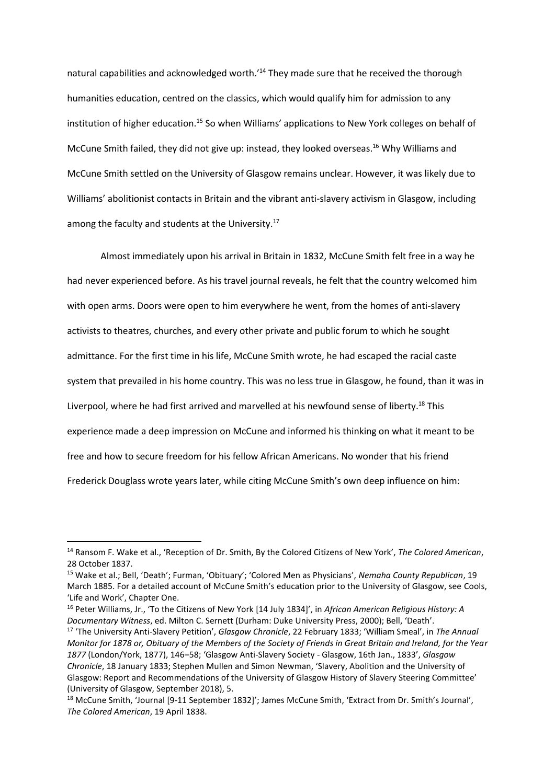natural capabilities and acknowledged worth.'<sup>14</sup> They made sure that he received the thorough humanities education, centred on the classics, which would qualify him for admission to any institution of higher education.<sup>15</sup> So when Williams' applications to New York colleges on behalf of McCune Smith failed, they did not give up: instead, they looked overseas. <sup>16</sup> Why Williams and McCune Smith settled on the University of Glasgow remains unclear. However, it was likely due to Williams' abolitionist contacts in Britain and the vibrant anti-slavery activism in Glasgow, including among the faculty and students at the University.<sup>17</sup>

Almost immediately upon his arrival in Britain in 1832, McCune Smith felt free in a way he had never experienced before. As his travel journal reveals, he felt that the country welcomed him with open arms. Doors were open to him everywhere he went, from the homes of anti-slavery activists to theatres, churches, and every other private and public forum to which he sought admittance. For the first time in his life, McCune Smith wrote, he had escaped the racial caste system that prevailed in his home country. This was no less true in Glasgow, he found, than it was in Liverpool, where he had first arrived and marvelled at his newfound sense of liberty.<sup>18</sup> This experience made a deep impression on McCune and informed his thinking on what it meant to be free and how to secure freedom for his fellow African Americans. No wonder that his friend Frederick Douglass wrote years later, while citing McCune Smith's own deep influence on him:

<sup>14</sup> Ransom F. Wake et al., 'Reception of Dr. Smith, By the Colored Citizens of New York', *The Colored American*, 28 October 1837.

<sup>15</sup> Wake et al.; Bell, 'Death'; Furman, 'Obituary'; 'Colored Men as Physicians', *Nemaha County Republican*, 19 March 1885. For a detailed account of McCune Smith's education prior to the University of Glasgow, see Cools, 'Life and Work', Chapter One.

<sup>16</sup> Peter Williams, Jr., 'To the Citizens of New York [14 July 1834]', in *African American Religious History: A Documentary Witness*, ed. Milton C. Sernett (Durham: Duke University Press, 2000); Bell, 'Death'.

<sup>17</sup> 'The University Anti-Slavery Petition', *Glasgow Chronicle*, 22 February 1833; 'William Smeal', in *The Annual Monitor for 1878 or, Obituary of the Members of the Society of Friends in Great Britain and Ireland, for the Year 1877* (London/York, 1877), 146–58; 'Glasgow Anti-Slavery Society - Glasgow, 16th Jan., 1833', *Glasgow Chronicle*, 18 January 1833; Stephen Mullen and Simon Newman, 'Slavery, Abolition and the University of Glasgow: Report and Recommendations of the University of Glasgow History of Slavery Steering Committee' (University of Glasgow, September 2018), 5.

<sup>18</sup> McCune Smith, 'Journal [9-11 September 1832]'; James McCune Smith, 'Extract from Dr. Smith's Journal', *The Colored American*, 19 April 1838.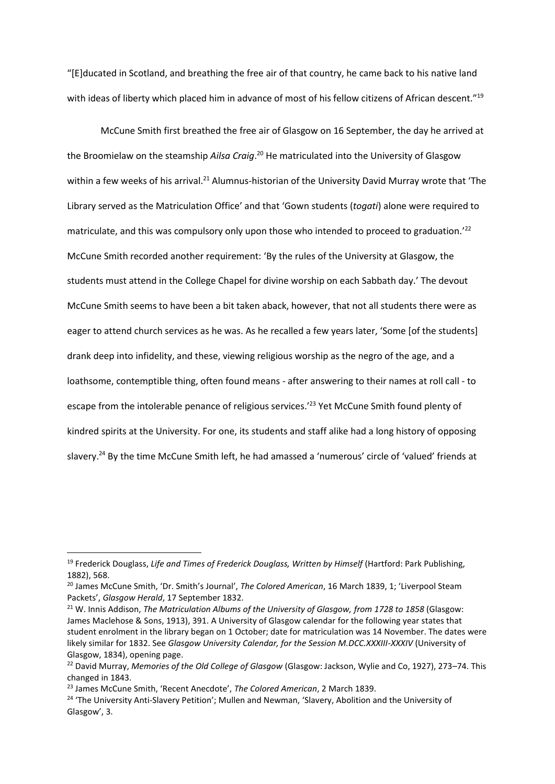"[E]ducated in Scotland, and breathing the free air of that country, he came back to his native land with ideas of liberty which placed him in advance of most of his fellow citizens of African descent."<sup>19</sup>

McCune Smith first breathed the free air of Glasgow on 16 September, the day he arrived at the Broomielaw on the steamship *Ailsa Craig*. <sup>20</sup> He matriculated into the University of Glasgow within a few weeks of his arrival.<sup>21</sup> Alumnus-historian of the University David Murray wrote that 'The Library served as the Matriculation Office' and that 'Gown students (*togati*) alone were required to matriculate, and this was compulsory only upon those who intended to proceed to graduation.<sup>'22</sup> McCune Smith recorded another requirement: 'By the rules of the University at Glasgow, the students must attend in the College Chapel for divine worship on each Sabbath day.' The devout McCune Smith seems to have been a bit taken aback, however, that not all students there were as eager to attend church services as he was. As he recalled a few years later, 'Some [of the students] drank deep into infidelity, and these, viewing religious worship as the negro of the age, and a loathsome, contemptible thing, often found means - after answering to their names at roll call - to escape from the intolerable penance of religious services.<sup>'23</sup> Yet McCune Smith found plenty of kindred spirits at the University. For one, its students and staff alike had a long history of opposing slavery.<sup>24</sup> By the time McCune Smith left, he had amassed a 'numerous' circle of 'valued' friends at

<sup>19</sup> Frederick Douglass, *Life and Times of Frederick Douglass, Written by Himself* (Hartford: Park Publishing, 1882), 568.

<sup>20</sup> James McCune Smith, 'Dr. Smith's Journal', *The Colored American*, 16 March 1839, 1; 'Liverpool Steam Packets', *Glasgow Herald*, 17 September 1832.

<sup>21</sup> W. Innis Addison, *The Matriculation Albums of the University of Glasgow, from 1728 to 1858* (Glasgow: James Maclehose & Sons, 1913), 391. A University of Glasgow calendar for the following year states that student enrolment in the library began on 1 October; date for matriculation was 14 November. The dates were likely similar for 1832. See *Glasgow University Calendar, for the Session M.DCC.XXXIII-XXXIV* (University of Glasgow, 1834), opening page.

<sup>22</sup> David Murray, *Memories of the Old College of Glasgow* (Glasgow: Jackson, Wylie and Co, 1927), 273–74. This changed in 1843.

<sup>23</sup> James McCune Smith, 'Recent Anecdote', *The Colored American*, 2 March 1839.

<sup>&</sup>lt;sup>24</sup> 'The University Anti-Slavery Petition'; Mullen and Newman, 'Slavery, Abolition and the University of Glasgow', 3.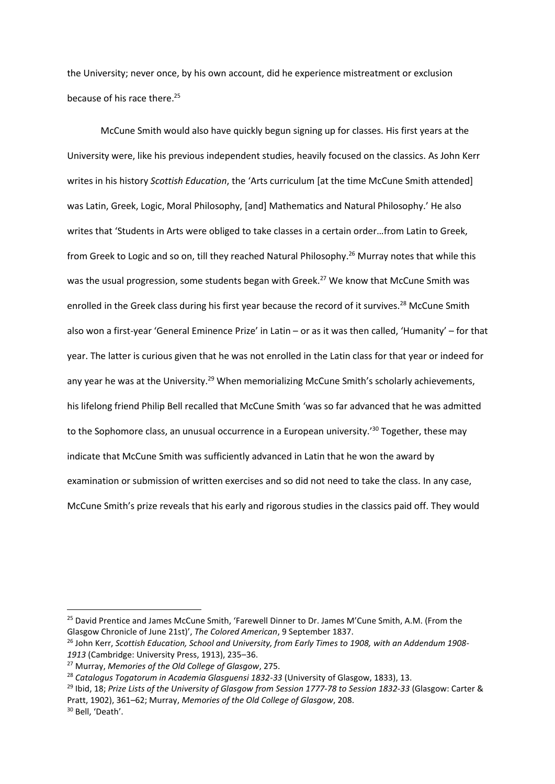the University; never once, by his own account, did he experience mistreatment or exclusion because of his race there. 25

McCune Smith would also have quickly begun signing up for classes. His first years at the University were, like his previous independent studies, heavily focused on the classics. As John Kerr writes in his history *Scottish Education*, the 'Arts curriculum [at the time McCune Smith attended] was Latin, Greek, Logic, Moral Philosophy, [and] Mathematics and Natural Philosophy.' He also writes that 'Students in Arts were obliged to take classes in a certain order…from Latin to Greek, from Greek to Logic and so on, till they reached Natural Philosophy. <sup>26</sup> Murray notes that while this was the usual progression, some students began with Greek.<sup>27</sup> We know that McCune Smith was enrolled in the Greek class during his first year because the record of it survives.<sup>28</sup> McCune Smith also won a first-year 'General Eminence Prize' in Latin – or as it was then called, 'Humanity' – for that year. The latter is curious given that he was not enrolled in the Latin class for that year or indeed for any year he was at the University.<sup>29</sup> When memorializing McCune Smith's scholarly achievements, his lifelong friend Philip Bell recalled that McCune Smith 'was so far advanced that he was admitted to the Sophomore class, an unusual occurrence in a European university.<sup>'30</sup> Together, these may indicate that McCune Smith was sufficiently advanced in Latin that he won the award by examination or submission of written exercises and so did not need to take the class. In any case, McCune Smith's prize reveals that his early and rigorous studies in the classics paid off. They would

<sup>&</sup>lt;sup>25</sup> David Prentice and James McCune Smith, 'Farewell Dinner to Dr. James M'Cune Smith, A.M. (From the Glasgow Chronicle of June 21st)', *The Colored American*, 9 September 1837.

<sup>26</sup> John Kerr, *Scottish Education, School and University, from Early Times to 1908, with an Addendum 1908- 1913* (Cambridge: University Press, 1913), 235–36.

<sup>27</sup> Murray, *Memories of the Old College of Glasgow*, 275.

<sup>28</sup> *Catalogus Togatorum in Academia Glasguensi 1832-33* (University of Glasgow, 1833), 13.

<sup>29</sup> Ibid, 18; *Prize Lists of the University of Glasgow from Session 1777-78 to Session 1832-33* (Glasgow: Carter & Pratt, 1902), 361–62; Murray, *Memories of the Old College of Glasgow*, 208.

<sup>30</sup> Bell, 'Death'.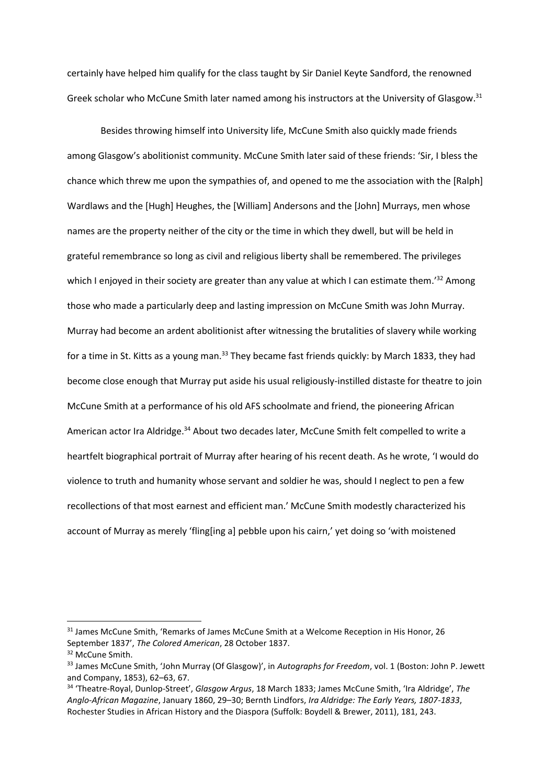certainly have helped him qualify for the class taught by Sir Daniel Keyte Sandford, the renowned Greek scholar who McCune Smith later named among his instructors at the University of Glasgow.<sup>31</sup>

Besides throwing himself into University life, McCune Smith also quickly made friends among Glasgow's abolitionist community. McCune Smith later said of these friends: 'Sir, I bless the chance which threw me upon the sympathies of, and opened to me the association with the [Ralph] Wardlaws and the [Hugh] Heughes, the [William] Andersons and the [John] Murrays, men whose names are the property neither of the city or the time in which they dwell, but will be held in grateful remembrance so long as civil and religious liberty shall be remembered. The privileges which I enjoyed in their society are greater than any value at which I can estimate them.<sup>132</sup> Among those who made a particularly deep and lasting impression on McCune Smith was John Murray. Murray had become an ardent abolitionist after witnessing the brutalities of slavery while working for a time in St. Kitts as a young man.<sup>33</sup> They became fast friends quickly: by March 1833, they had become close enough that Murray put aside his usual religiously-instilled distaste for theatre to join McCune Smith at a performance of his old AFS schoolmate and friend, the pioneering African American actor Ira Aldridge.<sup>34</sup> About two decades later, McCune Smith felt compelled to write a heartfelt biographical portrait of Murray after hearing of his recent death. As he wrote, 'I would do violence to truth and humanity whose servant and soldier he was, should I neglect to pen a few recollections of that most earnest and efficient man.' McCune Smith modestly characterized his account of Murray as merely 'fling[ing a] pebble upon his cairn,' yet doing so 'with moistened

<sup>&</sup>lt;sup>31</sup> James McCune Smith, 'Remarks of James McCune Smith at a Welcome Reception in His Honor, 26 September 1837', *The Colored American*, 28 October 1837.

<sup>&</sup>lt;sup>32</sup> McCune Smith.

<sup>33</sup> James McCune Smith, 'John Murray (Of Glasgow)', in *Autographs for Freedom*, vol. 1 (Boston: John P. Jewett and Company, 1853), 62–63, 67.

<sup>34</sup> 'Theatre-Royal, Dunlop-Street', *Glasgow Argus*, 18 March 1833; James McCune Smith, 'Ira Aldridge', *The Anglo-African Magazine*, January 1860, 29–30; Bernth Lindfors, *Ira Aldridge: The Early Years, 1807-1833*, Rochester Studies in African History and the Diaspora (Suffolk: Boydell & Brewer, 2011), 181, 243.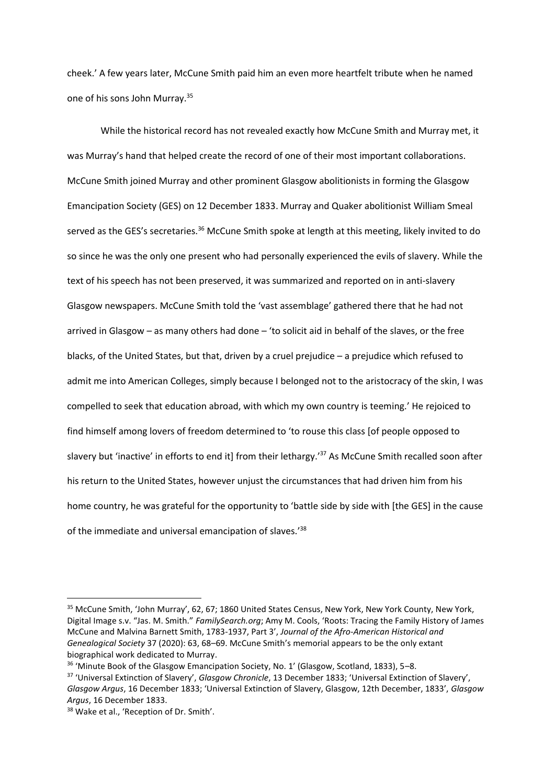cheek.' A few years later, McCune Smith paid him an even more heartfelt tribute when he named one of his sons John Murray.<sup>35</sup>

While the historical record has not revealed exactly how McCune Smith and Murray met, it was Murray's hand that helped create the record of one of their most important collaborations. McCune Smith joined Murray and other prominent Glasgow abolitionists in forming the Glasgow Emancipation Society (GES) on 12 December 1833. Murray and Quaker abolitionist William Smeal served as the GES's secretaries.<sup>36</sup> McCune Smith spoke at length at this meeting, likely invited to do so since he was the only one present who had personally experienced the evils of slavery. While the text of his speech has not been preserved, it was summarized and reported on in anti-slavery Glasgow newspapers. McCune Smith told the 'vast assemblage' gathered there that he had not arrived in Glasgow – as many others had done – 'to solicit aid in behalf of the slaves, or the free blacks, of the United States, but that, driven by a cruel prejudice – a prejudice which refused to admit me into American Colleges, simply because I belonged not to the aristocracy of the skin, I was compelled to seek that education abroad, with which my own country is teeming.' He rejoiced to find himself among lovers of freedom determined to 'to rouse this class [of people opposed to slavery but 'inactive' in efforts to end it] from their lethargy.'<sup>37</sup> As McCune Smith recalled soon after his return to the United States, however unjust the circumstances that had driven him from his home country, he was grateful for the opportunity to 'battle side by side with [the GES] in the cause of the immediate and universal emancipation of slaves.<sup>'38</sup>

<sup>35</sup> McCune Smith, 'John Murray', 62, 67; 1860 United States Census, New York, New York County, New York, Digital Image s.v. "Jas. M. Smith." *FamilySearch.org*; Amy M. Cools, 'Roots: Tracing the Family History of James McCune and Malvina Barnett Smith, 1783-1937, Part 3', *Journal of the Afro-American Historical and Genealogical Society* 37 (2020): 63, 68–69. McCune Smith's memorial appears to be the only extant biographical work dedicated to Murray.

<sup>&</sup>lt;sup>36</sup> 'Minute Book of the Glasgow Emancipation Society, No. 1' (Glasgow, Scotland, 1833), 5–8.

<sup>37</sup> 'Universal Extinction of Slavery', *Glasgow Chronicle*, 13 December 1833; 'Universal Extinction of Slavery', *Glasgow Argus*, 16 December 1833; 'Universal Extinction of Slavery, Glasgow, 12th December, 1833', *Glasgow Argus*, 16 December 1833.

<sup>38</sup> Wake et al., 'Reception of Dr. Smith'.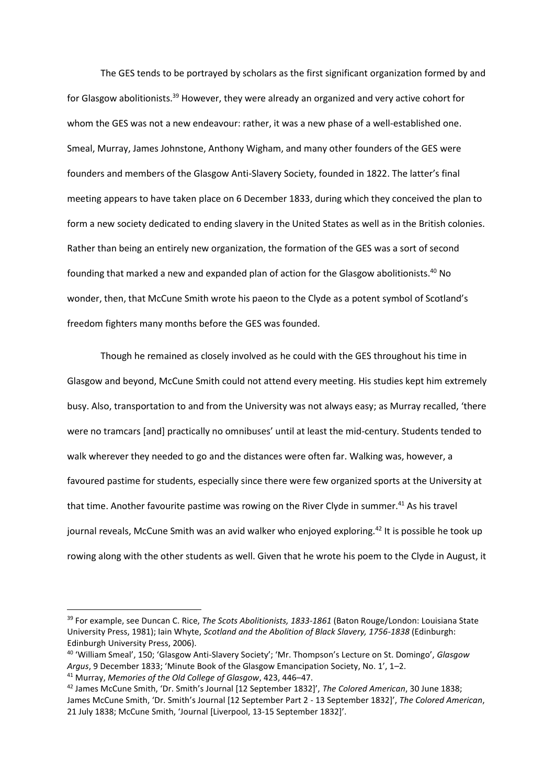The GES tends to be portrayed by scholars as the first significant organization formed by and for Glasgow abolitionists.<sup>39</sup> However, they were already an organized and very active cohort for whom the GES was not a new endeavour: rather, it was a new phase of a well-established one. Smeal, Murray, James Johnstone, Anthony Wigham, and many other founders of the GES were founders and members of the Glasgow Anti-Slavery Society, founded in 1822. The latter's final meeting appears to have taken place on 6 December 1833, during which they conceived the plan to form a new society dedicated to ending slavery in the United States as well as in the British colonies. Rather than being an entirely new organization, the formation of the GES was a sort of second founding that marked a new and expanded plan of action for the Glasgow abolitionists.<sup>40</sup> No wonder, then, that McCune Smith wrote his paeon to the Clyde as a potent symbol of Scotland's freedom fighters many months before the GES was founded.

Though he remained as closely involved as he could with the GES throughout his time in Glasgow and beyond, McCune Smith could not attend every meeting. His studies kept him extremely busy. Also, transportation to and from the University was not always easy; as Murray recalled, 'there were no tramcars [and] practically no omnibuses' until at least the mid-century. Students tended to walk wherever they needed to go and the distances were often far. Walking was, however, a favoured pastime for students, especially since there were few organized sports at the University at that time. Another favourite pastime was rowing on the River Clyde in summer.<sup>41</sup> As his travel journal reveals, McCune Smith was an avid walker who enjoyed exploring.<sup>42</sup> It is possible he took up rowing along with the other students as well. Given that he wrote his poem to the Clyde in August, it

<sup>39</sup> For example, see Duncan C. Rice, *The Scots Abolitionists, 1833-1861* (Baton Rouge/London: Louisiana State University Press, 1981); Iain Whyte, *Scotland and the Abolition of Black Slavery, 1756-1838* (Edinburgh: Edinburgh University Press, 2006).

<sup>40</sup> 'William Smeal', 150; 'Glasgow Anti-Slavery Society'; 'Mr. Thompson's Lecture on St. Domingo', *Glasgow Argus*, 9 December 1833; 'Minute Book of the Glasgow Emancipation Society, No. 1', 1–2.

<sup>41</sup> Murray, *Memories of the Old College of Glasgow*, 423, 446–47.

<sup>42</sup> James McCune Smith, 'Dr. Smith's Journal [12 September 1832]', *The Colored American*, 30 June 1838; James McCune Smith, 'Dr. Smith's Journal [12 September Part 2 - 13 September 1832]', *The Colored American*, 21 July 1838; McCune Smith, 'Journal [Liverpool, 13-15 September 1832]'.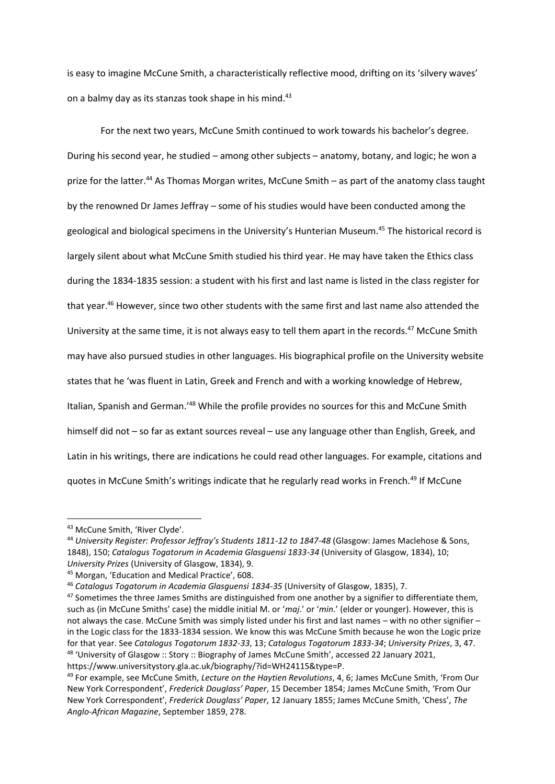is easy to imagine McCune Smith, a characteristically reflective mood, drifting on its 'silvery waves' on a balmy day as its stanzas took shape in his mind.<sup>43</sup>

For the next two years, McCune Smith continued to work towards his bachelor's degree. During his second year, he studied – among other subjects – anatomy, botany, and logic; he won a prize for the latter.<sup>44</sup> As Thomas Morgan writes, McCune Smith – as part of the anatomy class taught by the renowned Dr James Jeffray – some of his studies would have been conducted among the geological and biological specimens in the University's Hunterian Museum.<sup>45</sup> The historical record is largely silent about what McCune Smith studied his third year. He may have taken the Ethics class during the 1834-1835 session: a student with his first and last name is listed in the class register for that year.<sup>46</sup> However, since two other students with the same first and last name also attended the University at the same time, it is not always easy to tell them apart in the records.<sup>47</sup> McCune Smith may have also pursued studies in other languages. His biographical profile on the University website states that he 'was fluent in Latin, Greek and French and with a working knowledge of Hebrew, Italian, Spanish and German.<sup>148</sup> While the profile provides no sources for this and McCune Smith himself did not – so far as extant sources reveal – use any language other than English, Greek, and Latin in his writings, there are indications he could read other languages. For example, citations and quotes in McCune Smith's writings indicate that he regularly read works in French.<sup>49</sup> If McCune

<sup>43</sup> McCune Smith, 'River Clyde'.

<sup>44</sup> *University Register: Professor Jeffray's Students 1811-12 to 1847-48* (Glasgow: James Maclehose & Sons, 1848), 150; *Catalogus Togatorum in Academia Glasguensi 1833-34* (University of Glasgow, 1834), 10; *University Prizes* (University of Glasgow, 1834), 9.

<sup>45</sup> Morgan, 'Education and Medical Practice', 608.

<sup>46</sup> *Catalogus Togatorum in Academia Glasguensi 1834-35* (University of Glasgow, 1835), 7.

 $47$  Sometimes the three James Smiths are distinguished from one another by a signifier to differentiate them, such as (in McCune Smiths' case) the middle initial M. or '*maj*.' or '*min*.' (elder or younger). However, this is not always the case. McCune Smith was simply listed under his first and last names – with no other signifier – in the Logic class for the 1833-1834 session. We know this was McCune Smith because he won the Logic prize for that year. See *Catalogus Togatorum 1832-33*, 13; *Catalogus Togatorum 1833-34*; *University Prizes*, 3, 47. <sup>48</sup> 'University of Glasgow :: Story :: Biography of James McCune Smith', accessed 22 January 2021, https://www.universitystory.gla.ac.uk/biography/?id=WH24115&type=P.

<sup>49</sup> For example, see McCune Smith, *Lecture on the Haytien Revolutions*, 4, 6; James McCune Smith, 'From Our New York Correspondent', *Frederick Douglass' Paper*, 15 December 1854; James McCune Smith, 'From Our New York Correspondent', *Frederick Douglass' Paper*, 12 January 1855; James McCune Smith, 'Chess', *The Anglo-African Magazine*, September 1859, 278.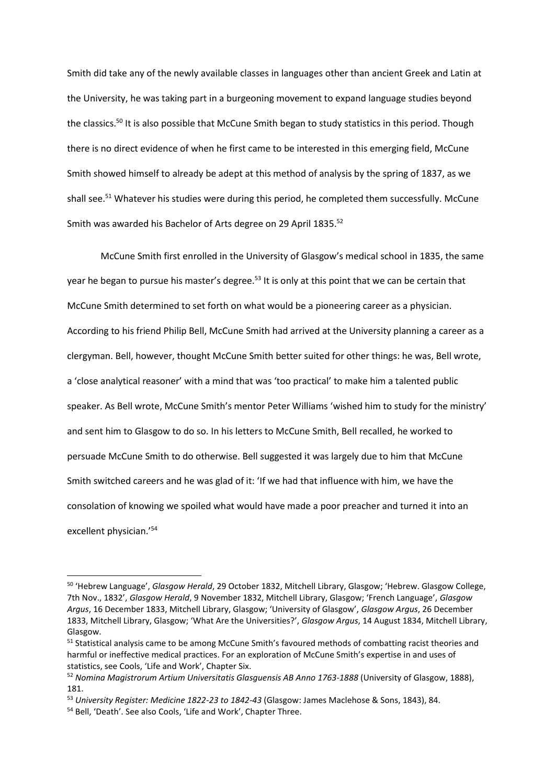Smith did take any of the newly available classes in languages other than ancient Greek and Latin at the University, he was taking part in a burgeoning movement to expand language studies beyond the classics. <sup>50</sup> It is also possible that McCune Smith began to study statistics in this period. Though there is no direct evidence of when he first came to be interested in this emerging field, McCune Smith showed himself to already be adept at this method of analysis by the spring of 1837, as we shall see.<sup>51</sup> Whatever his studies were during this period, he completed them successfully. McCune Smith was awarded his Bachelor of Arts degree on 29 April 1835.<sup>52</sup>

McCune Smith first enrolled in the University of Glasgow's medical school in 1835, the same year he began to pursue his master's degree.<sup>53</sup> It is only at this point that we can be certain that McCune Smith determined to set forth on what would be a pioneering career as a physician. According to his friend Philip Bell, McCune Smith had arrived at the University planning a career as a clergyman. Bell, however, thought McCune Smith better suited for other things: he was, Bell wrote, a 'close analytical reasoner' with a mind that was 'too practical' to make him a talented public speaker. As Bell wrote, McCune Smith's mentor Peter Williams 'wished him to study for the ministry' and sent him to Glasgow to do so. In his letters to McCune Smith, Bell recalled, he worked to persuade McCune Smith to do otherwise. Bell suggested it was largely due to him that McCune Smith switched careers and he was glad of it: 'If we had that influence with him, we have the consolation of knowing we spoiled what would have made a poor preacher and turned it into an excellent physician.' 54

<sup>50</sup> 'Hebrew Language', *Glasgow Herald*, 29 October 1832, Mitchell Library, Glasgow; 'Hebrew. Glasgow College, 7th Nov., 1832', *Glasgow Herald*, 9 November 1832, Mitchell Library, Glasgow; 'French Language', *Glasgow Argus*, 16 December 1833, Mitchell Library, Glasgow; 'University of Glasgow', *Glasgow Argus*, 26 December 1833, Mitchell Library, Glasgow; 'What Are the Universities?', *Glasgow Argus*, 14 August 1834, Mitchell Library, Glasgow.

<sup>&</sup>lt;sup>51</sup> Statistical analysis came to be among McCune Smith's favoured methods of combatting racist theories and harmful or ineffective medical practices. For an exploration of McCune Smith's expertise in and uses of statistics, see Cools, 'Life and Work', Chapter Six.

<sup>52</sup> *Nomina Magistrorum Artium Universitatis Glasguensis AB Anno 1763-1888* (University of Glasgow, 1888), 181.

<sup>53</sup> *University Register: Medicine 1822-23 to 1842-43* (Glasgow: James Maclehose & Sons, 1843), 84.

<sup>54</sup> Bell, 'Death'. See also Cools, 'Life and Work', Chapter Three.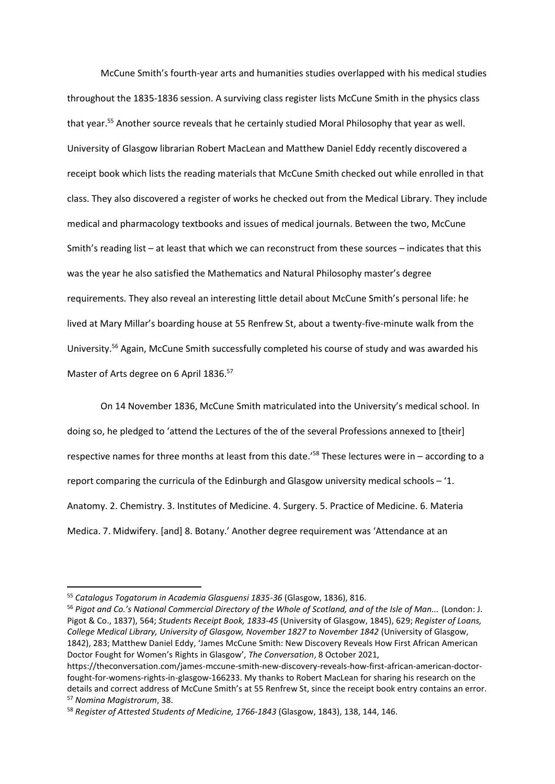McCune Smith's fourth-year arts and humanities studies overlapped with his medical studies throughout the 1835-1836 session. A surviving class register lists McCune Smith in the physics class that year.<sup>55</sup> Another source reveals that he certainly studied Moral Philosophy that year as well. University of Glasgow librarian Robert MacLean and Matthew Daniel Eddy recently discovered a receipt book which lists the reading materials that McCune Smith checked out while enrolled in that class. They also discovered a register of works he checked out from the Medical Library. They include medical and pharmacology textbooks and issues of medical journals. Between the two, McCune Smith's reading list – at least that which we can reconstruct from these sources – indicates that this was the year he also satisfied the Mathematics and Natural Philosophy master's degree requirements. They also reveal an interesting little detail about McCune Smith's personal life: he lived at Mary Millar's boarding house at 55 Renfrew St, about a twenty-five-minute walk from the University. <sup>56</sup> Again, McCune Smith successfully completed his course of study and was awarded his Master of Arts degree on 6 April 1836.<sup>57</sup>

On 14 November 1836, McCune Smith matriculated into the University's medical school. In doing so, he pledged to 'attend the Lectures of the of the several Professions annexed to [their] respective names for three months at least from this date.<sup>758</sup> These lectures were in - according to a report comparing the curricula of the Edinburgh and Glasgow university medical schools – '1. Anatomy. 2. Chemistry. 3. Institutes of Medicine. 4. Surgery. 5. Practice of Medicine. 6. Materia Medica. 7. Midwifery. [and] 8. Botany.' Another degree requirement was 'Attendance at an

<sup>55</sup> *Catalogus Togatorum in Academia Glasguensi 1835-36* (Glasgow, 1836), 816.

<sup>56</sup> *Pigot and Co.'s National Commercial Directory of the Whole of Scotland, and of the Isle of Man...* (London: J. Pigot & Co., 1837), 564; *Students Receipt Book, 1833-45* (University of Glasgow, 1845), 629; *Register of Loans, College Medical Library, University of Glasgow, November 1827 to November 1842* (University of Glasgow, 1842), 283; Matthew Daniel Eddy, 'James McCune Smith: New Discovery Reveals How First African American Doctor Fought for Women's Rights in Glasgow', *The Conversation*, 8 October 2021,

https://theconversation.com/james-mccune-smith-new-discovery-reveals-how-first-african-american-doctorfought-for-womens-rights-in-glasgow-166233. My thanks to Robert MacLean for sharing his research on the details and correct address of McCune Smith's at 55 Renfrew St, since the receipt book entry contains an error. <sup>57</sup> *Nomina Magistrorum*, 38.

<sup>58</sup> *Register of Attested Students of Medicine, 1766-1843* (Glasgow, 1843), 138, 144, 146.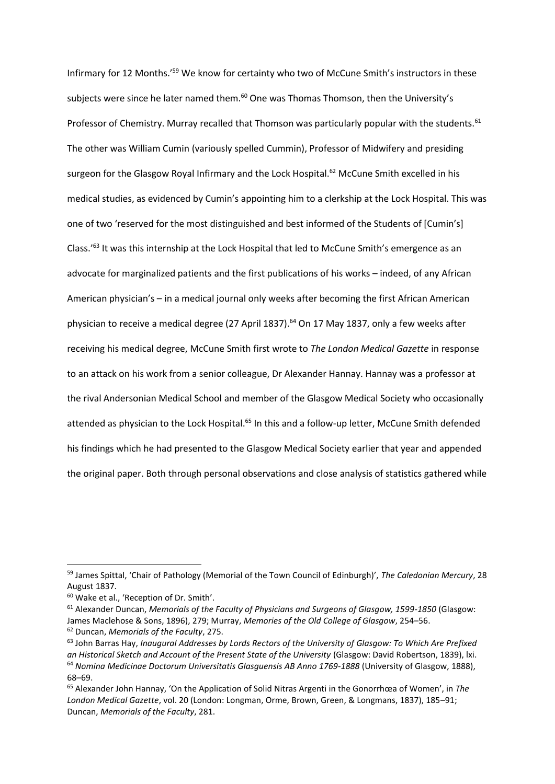Infirmary for 12 Months.'<sup>59</sup> We know for certainty who two of McCune Smith's instructors in these subjects were since he later named them.<sup>60</sup> One was Thomas Thomson, then the University's Professor of Chemistry. Murray recalled that Thomson was particularly popular with the students.<sup>61</sup> The other was William Cumin (variously spelled Cummin), Professor of Midwifery and presiding surgeon for the Glasgow Royal Infirmary and the Lock Hospital.<sup>62</sup> McCune Smith excelled in his medical studies, as evidenced by Cumin's appointing him to a clerkship at the Lock Hospital. This was one of two 'reserved for the most distinguished and best informed of the Students of [Cumin's] Class.'<sup>63</sup> It was this internship at the Lock Hospital that led to McCune Smith's emergence as an advocate for marginalized patients and the first publications of his works – indeed, of any African American physician's – in a medical journal only weeks after becoming the first African American physician to receive a medical degree (27 April 1837). <sup>64</sup> On 17 May 1837, only a few weeks after receiving his medical degree, McCune Smith first wrote to *The London Medical Gazette* in response to an attack on his work from a senior colleague, Dr Alexander Hannay. Hannay was a professor at the rival Andersonian Medical School and member of the Glasgow Medical Society who occasionally attended as physician to the Lock Hospital.<sup>65</sup> In this and a follow-up letter, McCune Smith defended his findings which he had presented to the Glasgow Medical Society earlier that year and appended the original paper. Both through personal observations and close analysis of statistics gathered while

<sup>59</sup> James Spittal, 'Chair of Pathology (Memorial of the Town Council of Edinburgh)', *The Caledonian Mercury*, 28 August 1837.

<sup>60</sup> Wake et al., 'Reception of Dr. Smith'.

<sup>61</sup> Alexander Duncan, *Memorials of the Faculty of Physicians and Surgeons of Glasgow, 1599-1850* (Glasgow: James Maclehose & Sons, 1896), 279; Murray, *Memories of the Old College of Glasgow*, 254–56. <sup>62</sup> Duncan, *Memorials of the Faculty*, 275.

<sup>63</sup> John Barras Hay, *Inaugural Addresses by Lords Rectors of the University of Glasgow: To Which Are Prefixed an Historical Sketch and Account of the Present State of the University* (Glasgow: David Robertson, 1839), lxi. <sup>64</sup> *Nomina Medicinae Doctorum Universitatis Glasguensis AB Anno 1769-1888* (University of Glasgow, 1888), 68–69.

<sup>65</sup> Alexander John Hannay, 'On the Application of Solid Nitras Argenti in the Gonorrhœa of Women', in *The London Medical Gazette*, vol. 20 (London: Longman, Orme, Brown, Green, & Longmans, 1837), 185–91; Duncan, *Memorials of the Faculty*, 281.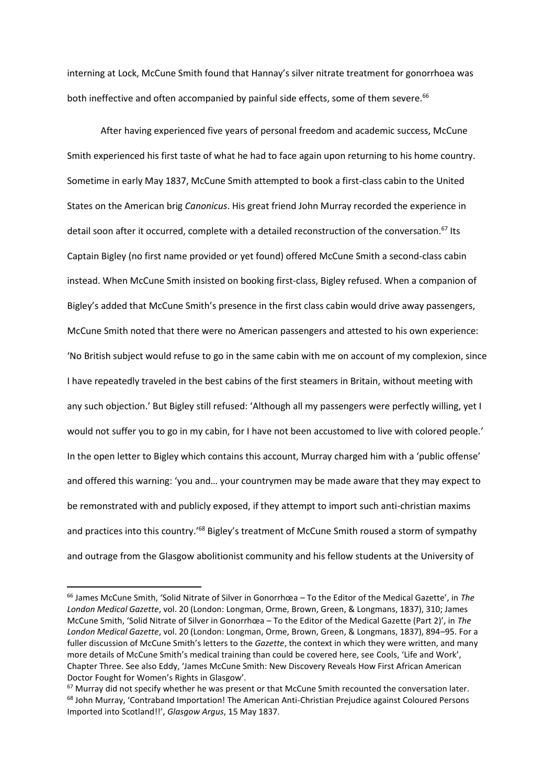interning at Lock, McCune Smith found that Hannay's silver nitrate treatment for gonorrhoea was both ineffective and often accompanied by painful side effects, some of them severe.<sup>66</sup>

After having experienced five years of personal freedom and academic success, McCune Smith experienced his first taste of what he had to face again upon returning to his home country. Sometime in early May 1837, McCune Smith attempted to book a first-class cabin to the United States on the American brig *Canonicus*. His great friend John Murray recorded the experience in detail soon after it occurred, complete with a detailed reconstruction of the conversation.<sup>67</sup> Its Captain Bigley (no first name provided or yet found) offered McCune Smith a second-class cabin instead. When McCune Smith insisted on booking first-class, Bigley refused. When a companion of Bigley's added that McCune Smith's presence in the first class cabin would drive away passengers, McCune Smith noted that there were no American passengers and attested to his own experience: 'No British subject would refuse to go in the same cabin with me on account of my complexion, since I have repeatedly traveled in the best cabins of the first steamers in Britain, without meeting with any such objection.' But Bigley still refused: 'Although all my passengers were perfectly willing, yet I would not suffer you to go in my cabin, for I have not been accustomed to live with colored people.' In the open letter to Bigley which contains this account, Murray charged him with a 'public offense' and offered this warning: 'you and… your countrymen may be made aware that they may expect to be remonstrated with and publicly exposed, if they attempt to import such anti-christian maxims and practices into this country.<sup>168</sup> Bigley's treatment of McCune Smith roused a storm of sympathy and outrage from the Glasgow abolitionist community and his fellow students at the University of

<sup>66</sup> James McCune Smith, 'Solid Nitrate of Silver in Gonorrhœa – To the Editor of the Medical Gazette', in *The London Medical Gazette*, vol. 20 (London: Longman, Orme, Brown, Green, & Longmans, 1837), 310; James McCune Smith, 'Solid Nitrate of Silver in Gonorrhœa – To the Editor of the Medical Gazette (Part 2)', in *The London Medical Gazette*, vol. 20 (London: Longman, Orme, Brown, Green, & Longmans, 1837), 894–95. For a fuller discussion of McCune Smith's letters to the *Gazette*, the context in which they were written, and many more details of McCune Smith's medical training than could be covered here, see Cools, 'Life and Work', Chapter Three. See also Eddy, 'James McCune Smith: New Discovery Reveals How First African American Doctor Fought for Women's Rights in Glasgow'.

<sup>&</sup>lt;sup>67</sup> Murray did not specify whether he was present or that McCune Smith recounted the conversation later. <sup>68</sup> John Murray, 'Contraband Importation! The American Anti-Christian Prejudice against Coloured Persons Imported into Scotland!!', *Glasgow Argus*, 15 May 1837.